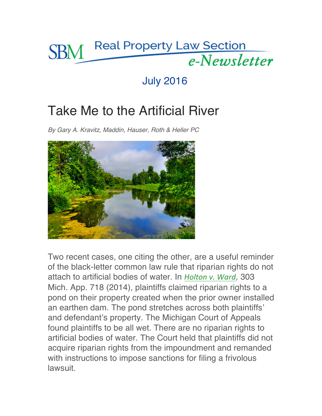

## July 2016

## Take Me to the Artificial River

*By Gary A. Kravitz, Maddin, Hauser, Roth & Heller PC*



Two recent cases, one citing the other, are a useful reminder of the black-letter common law rule that riparian rights do not attach to artificial bodies of water. In *Holton v. Ward,* 303 Mich. App. 718 (2014), plaintiffs claimed riparian rights to a pond on their property created when the prior owner installed an earthen dam. The pond stretches across both plaintiffs' and defendant's property. The Michigan Court of Appeals found plaintiffs to be all wet. There are no riparian rights to artificial bodies of water. The Court held that plaintiffs did not acquire riparian rights from the impoundment and remanded with instructions to impose sanctions for filing a frivolous lawsuit.